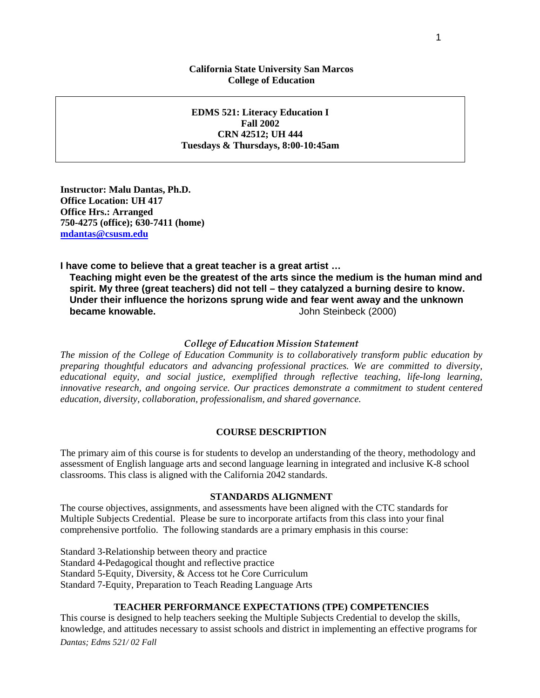## **California State University San Marcos College of Education**

**EDMS 521: Literacy Education I Fall 2002 CRN 42512; UH 444 Tuesdays & Thursdays, 8:00-10:45am**

**Instructor: Malu Dantas, Ph.D. Office Location: UH 417 Office Hrs.: Arranged 750-4275 (office); 630-7411 (home) [mdantas@csusm.edu](mailto:mdantas@csusm.edu)**

**I have come to believe that a great teacher is a great artist …**

**Teaching might even be the greatest of the arts since the medium is the human mind and spirit. My three (great teachers) did not tell – they catalyzed a burning desire to know. Under their influence the horizons sprung wide and fear went away and the unknown John Steinbeck (2000)** 

## *College of Education Mission Statement*

*The mission of the College of Education Community is to collaboratively transform public education by preparing thoughtful educators and advancing professional practices. We are committed to diversity, educational equity, and social justice, exemplified through reflective teaching, life-long learning, innovative research, and ongoing service. Our practices demonstrate a commitment to student centered education, diversity, collaboration, professionalism, and shared governance.*

## **COURSE DESCRIPTION**

The primary aim of this course is for students to develop an understanding of the theory, methodology and assessment of English language arts and second language learning in integrated and inclusive K-8 school classrooms. This class is aligned with the California 2042 standards.

## **STANDARDS ALIGNMENT**

The course objectives, assignments, and assessments have been aligned with the CTC standards for Multiple Subjects Credential. Please be sure to incorporate artifacts from this class into your final comprehensive portfolio. The following standards are a primary emphasis in this course:

Standard 3-Relationship between theory and practice Standard 4-Pedagogical thought and reflective practice Standard 5-Equity, Diversity, & Access tot he Core Curriculum Standard 7-Equity, Preparation to Teach Reading Language Arts

## **TEACHER PERFORMANCE EXPECTATIONS (TPE) COMPETENCIES**

*Dantas; Edms 521/ 02 Fall* This course is designed to help teachers seeking the Multiple Subjects Credential to develop the skills, knowledge, and attitudes necessary to assist schools and district in implementing an effective programs for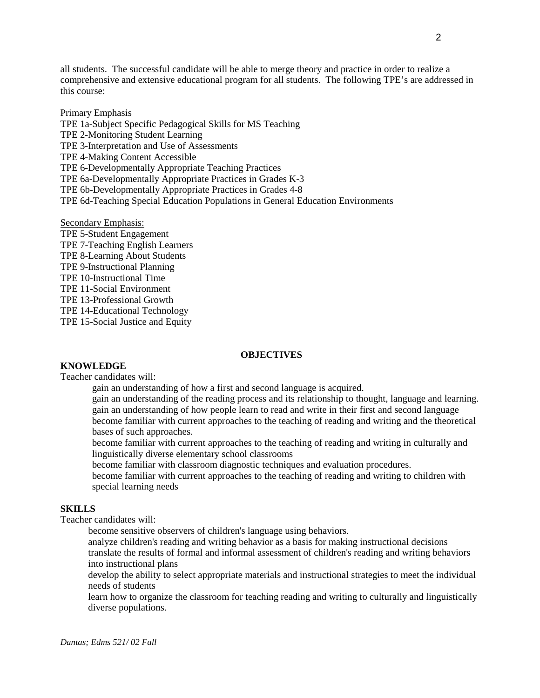all students. The successful candidate will be able to merge theory and practice in order to realize a comprehensive and extensive educational program for all students. The following TPE's are addressed in this course:

Primary Emphasis TPE 1a-Subject Specific Pedagogical Skills for MS Teaching TPE 2-Monitoring Student Learning TPE 3-Interpretation and Use of Assessments TPE 4-Making Content Accessible TPE 6-Developmentally Appropriate Teaching Practices TPE 6a-Developmentally Appropriate Practices in Grades K-3 TPE 6b-Developmentally Appropriate Practices in Grades 4-8 TPE 6d-Teaching Special Education Populations in General Education Environments

Secondary Emphasis: TPE 5-Student Engagement TPE 7-Teaching English Learners TPE 8-Learning About Students TPE 9-Instructional Planning TPE 10-Instructional Time TPE 11-Social Environment TPE 13-Professional Growth TPE 14-Educational Technology TPE 15-Social Justice and Equity

#### **OBJECTIVES**

## **KNOWLEDGE**

Teacher candidates will:

gain an understanding of how a first and second language is acquired.

gain an understanding of the reading process and its relationship to thought, language and learning. gain an understanding of how people learn to read and write in their first and second language become familiar with current approaches to the teaching of reading and writing and the theoretical bases of such approaches.

become familiar with current approaches to the teaching of reading and writing in culturally and linguistically diverse elementary school classrooms

become familiar with classroom diagnostic techniques and evaluation procedures.

become familiar with current approaches to the teaching of reading and writing to children with special learning needs

## **SKILLS**

Teacher candidates will:

become sensitive observers of children's language using behaviors.

analyze children's reading and writing behavior as a basis for making instructional decisions translate the results of formal and informal assessment of children's reading and writing behaviors into instructional plans

develop the ability to select appropriate materials and instructional strategies to meet the individual needs of students

learn how to organize the classroom for teaching reading and writing to culturally and linguistically diverse populations.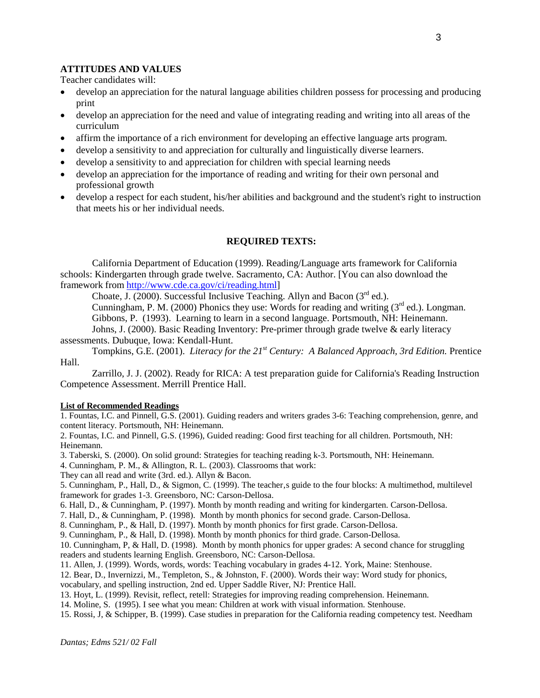## **ATTITUDES AND VALUES**

Teacher candidates will:

- develop an appreciation for the natural language abilities children possess for processing and producing print
- develop an appreciation for the need and value of integrating reading and writing into all areas of the curriculum
- affirm the importance of a rich environment for developing an effective language arts program.
- develop a sensitivity to and appreciation for culturally and linguistically diverse learners.
- develop a sensitivity to and appreciation for children with special learning needs
- develop an appreciation for the importance of reading and writing for their own personal and professional growth
- develop a respect for each student, his/her abilities and background and the student's right to instruction that meets his or her individual needs.

#### **REQUIRED TEXTS:**

California Department of Education (1999). Reading/Language arts framework for California schools: Kindergarten through grade twelve. Sacramento, CA: Author. [You can also download the framework from [http://www.cde.ca.gov/ci/reading.html\]](http://www.cde.ca.gov/ci/reading.html)

Choate, J. (2000). Successful Inclusive Teaching. Allyn and Bacon  $(3<sup>rd</sup>$  ed.).

Cunningham, P. M. (2000) Phonics they use: Words for reading and writing  $3^{rd}$  ed.). Longman. Gibbons, P. (1993). Learning to learn in a second language. Portsmouth, NH: Heinemann.

Johns, J. (2000). Basic Reading Inventory: Pre-primer through grade twelve & early literacy assessments. Dubuque, Iowa: Kendall-Hunt.

Tompkins, G.E. (2001). *Literacy for the 21st Century: A Balanced Approach, 3rd Edition.* Prentice Hall.

Zarrillo, J. J. (2002). Ready for RICA: A test preparation guide for California's Reading Instruction Competence Assessment. Merrill Prentice Hall.

#### **List of Recommended Readings**

1. Fountas, I.C. and Pinnell, G.S. (2001). Guiding readers and writers grades 3-6: Teaching comprehension, genre, and content literacy. Portsmouth, NH: Heinemann.

2. Fountas, I.C. and Pinnell, G.S. (1996), Guided reading: Good first teaching for all children. Portsmouth, NH: Heinemann.

3. Taberski, S. (2000). On solid ground: Strategies for teaching reading k-3. Portsmouth, NH: Heinemann.

4. Cunningham, P. M., & Allington, R. L. (2003). Classrooms that work:

They can all read and write (3rd. ed.). Allyn & Bacon.

5. Cunningham, P., Hall, D., & Sigmon, C. (1999). The teacher, s guide to the four blocks: A multimethod, multilevel framework for grades 1-3. Greensboro, NC: Carson-Dellosa.

6. Hall, D., & Cunningham, P. (1997). Month by month reading and writing for kindergarten. Carson-Dellosa.

7. Hall, D., & Cunningham, P. (1998). Month by month phonics for second grade. Carson-Dellosa.

8. Cunningham, P., & Hall, D. (1997). Month by month phonics for first grade. Carson-Dellosa.

9. Cunningham, P., & Hall, D. (1998). Month by month phonics for third grade. Carson-Dellosa.

10. Cunningham, P, & Hall, D. (1998). Month by month phonics for upper grades: A second chance for struggling readers and students learning English. Greensboro, NC: Carson-Dellosa.

11. Allen, J. (1999). Words, words, words: Teaching vocabulary in grades 4-12. York, Maine: Stenhouse.

12. Bear, D., Invernizzi, M., Templeton, S., & Johnston, F. (2000). Words their way: Word study for phonics,

vocabulary, and spelling instruction, 2nd ed. Upper Saddle River, NJ: Prentice Hall.

13. Hoyt, L. (1999). Revisit, reflect, retell: Strategies for improving reading comprehension. Heinemann.

14. Moline, S. (1995). I see what you mean: Children at work with visual information. Stenhouse.

15. Rossi, J, & Schipper, B. (1999). Case studies in preparation for the California reading competency test. Needham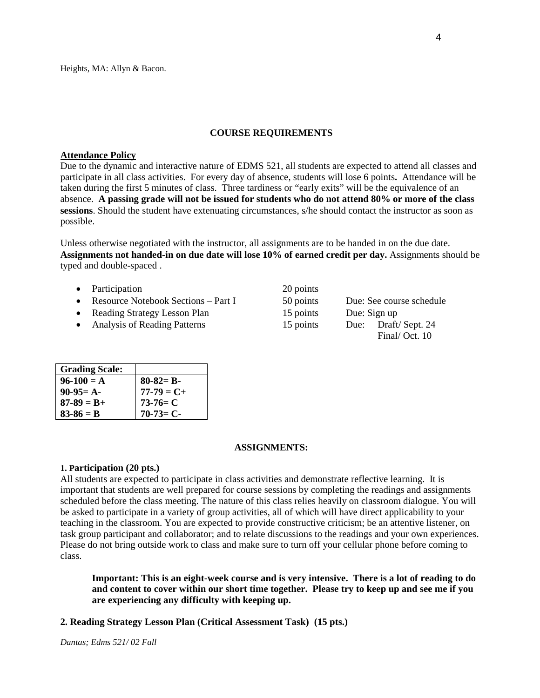Heights, MA: Allyn & Bacon.

#### **COURSE REQUIREMENTS**

#### **Attendance Policy**

Due to the dynamic and interactive nature of EDMS 521, all students are expected to attend all classes and participate in all class activities. For every day of absence, students will lose 6 points**.** Attendance will be taken during the first 5 minutes of class. Three tardiness or "early exits" will be the equivalence of an absence. **A passing grade will not be issued for students who do not attend 80% or more of the class sessions**. Should the student have extenuating circumstances, s/he should contact the instructor as soon as possible.

Unless otherwise negotiated with the instructor, all assignments are to be handed in on the due date. **Assignments not handed-in on due date will lose 10% of earned credit per day.** Assignments should be typed and double-spaced .

- Participation  $20$
- Resource Notebook Sections Part I 50
- Reading Strategy Lesson Plan 15
- Analysis of Reading Patterns 15

| points |              |                          |  |
|--------|--------------|--------------------------|--|
| points |              | Due: See course schedule |  |
| points | Due: Sign up |                          |  |
| points | Due:         | Draft/Sept. 24           |  |
|        |              | Final/Oct. 10            |  |

| <b>Grading Scale:</b> |               |
|-----------------------|---------------|
| $96-100 = A$          | $80-82= B-$   |
| $90-95=$ A-           | $177-79 = C+$ |
| $87 - 89 = B +$       | $173-76=$ C   |
| $83 - 86 = B$         | $70-73=C-$    |

#### **ASSIGNMENTS:**

#### **1. Participation (20 pts.)**

All students are expected to participate in class activities and demonstrate reflective learning. It is important that students are well prepared for course sessions by completing the readings and assignments scheduled before the class meeting. The nature of this class relies heavily on classroom dialogue. You will be asked to participate in a variety of group activities, all of which will have direct applicability to your teaching in the classroom. You are expected to provide constructive criticism; be an attentive listener, on task group participant and collaborator; and to relate discussions to the readings and your own experiences. Please do not bring outside work to class and make sure to turn off your cellular phone before coming to class.

**Important: This is an eight-week course and is very intensive. There is a lot of reading to do and content to cover within our short time together. Please try to keep up and see me if you are experiencing any difficulty with keeping up.**

## **2. Reading Strategy Lesson Plan (Critical Assessment Task) (15 pts.)**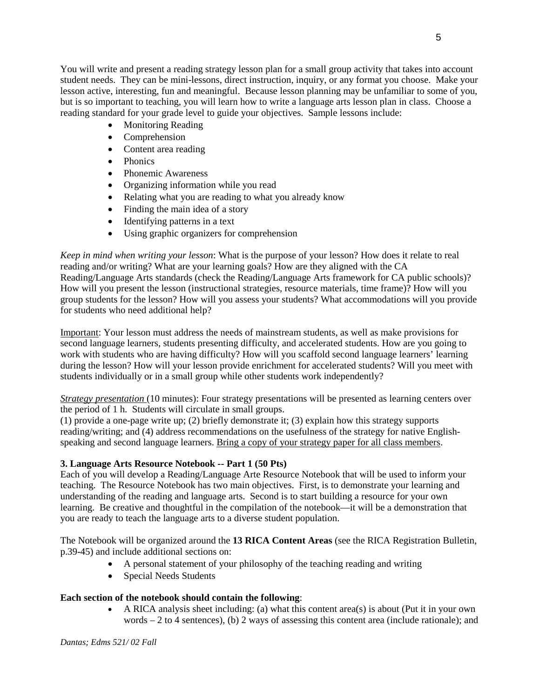You will write and present a reading strategy lesson plan for a small group activity that takes into account student needs. They can be mini-lessons, direct instruction, inquiry, or any format you choose. Make your lesson active, interesting, fun and meaningful. Because lesson planning may be unfamiliar to some of you, but is so important to teaching, you will learn how to write a language arts lesson plan in class. Choose a reading standard for your grade level to guide your objectives. Sample lessons include:

- Monitoring Reading
- Comprehension
- Content area reading
- Phonics
- Phonemic Awareness
- Organizing information while you read
- Relating what you are reading to what you already know
- Finding the main idea of a story
- Identifying patterns in a text
- Using graphic organizers for comprehension

*Keep in mind when writing your lesson*: What is the purpose of your lesson? How does it relate to real reading and/or writing? What are your learning goals? How are they aligned with the CA Reading/Language Arts standards (check the Reading/Language Arts framework for CA public schools)? How will you present the lesson (instructional strategies, resource materials, time frame)? How will you group students for the lesson? How will you assess your students? What accommodations will you provide for students who need additional help?

Important: Your lesson must address the needs of mainstream students, as well as make provisions for second language learners, students presenting difficulty, and accelerated students. How are you going to work with students who are having difficulty? How will you scaffold second language learners' learning during the lesson? How will your lesson provide enrichment for accelerated students? Will you meet with students individually or in a small group while other students work independently?

*Strategy presentation* (10 minutes): Four strategy presentations will be presented as learning centers over the period of 1 h. Students will circulate in small groups.

(1) provide a one-page write up; (2) briefly demonstrate it; (3) explain how this strategy supports reading/writing; and (4) address recommendations on the usefulness of the strategy for native Englishspeaking and second language learners. Bring a copy of your strategy paper for all class members.

# **3. Language Arts Resource Notebook -- Part 1 (50 Pts)**

Each of you will develop a Reading/Language Arte Resource Notebook that will be used to inform your teaching. The Resource Notebook has two main objectives. First, is to demonstrate your learning and understanding of the reading and language arts. Second is to start building a resource for your own learning. Be creative and thoughtful in the compilation of the notebook—it will be a demonstration that you are ready to teach the language arts to a diverse student population.

The Notebook will be organized around the **13 RICA Content Areas** (see the RICA Registration Bulletin, p.39-45) and include additional sections on:

- A personal statement of your philosophy of the teaching reading and writing
- Special Needs Students

# **Each section of the notebook should contain the following**:

• A RICA analysis sheet including: (a) what this content area(s) is about (Put it in your own words  $-2$  to 4 sentences), (b) 2 ways of assessing this content area (include rationale); and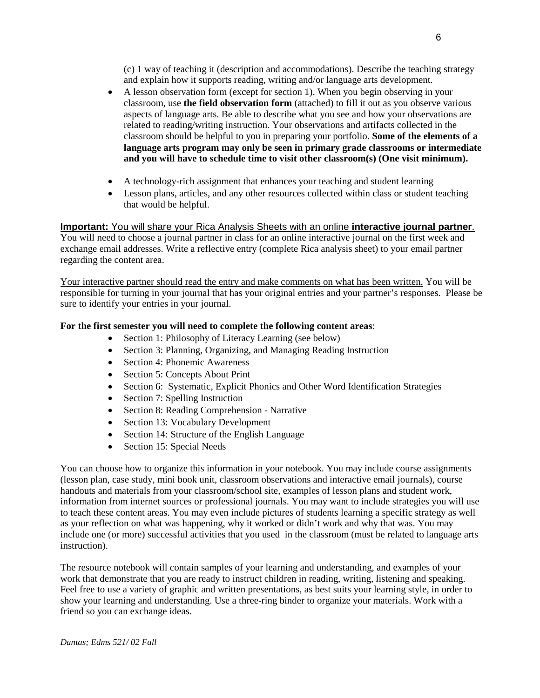(c) 1 way of teaching it (description and accommodations). Describe the teaching strategy and explain how it supports reading, writing and/or language arts development.

- A lesson observation form (except for section 1). When you begin observing in your classroom, use **the field observation form** (attached) to fill it out as you observe various aspects of language arts. Be able to describe what you see and how your observations are related to reading/writing instruction. Your observations and artifacts collected in the classroom should be helpful to you in preparing your portfolio. **Some of the elements of a language arts program may only be seen in primary grade classrooms or intermediate and you will have to schedule time to visit other classroom(s) (One visit minimum).**
- A technology-rich assignment that enhances your teaching and student learning
- Lesson plans, articles, and any other resources collected within class or student teaching that would be helpful.

# **Important:** You will share your Rica Analysis Sheets with an online **interactive journal partner**.

You will need to choose a journal partner in class for an online interactive journal on the first week and exchange email addresses. Write a reflective entry (complete Rica analysis sheet) to your email partner regarding the content area.

Your interactive partner should read the entry and make comments on what has been written. You will be responsible for turning in your journal that has your original entries and your partner's responses. Please be sure to identify your entries in your journal.

# **For the first semester you will need to complete the following content areas**:

- Section 1: Philosophy of Literacy Learning (see below)
- Section 3: Planning, Organizing, and Managing Reading Instruction
- Section 4: Phonemic Awareness
- Section 5: Concepts About Print
- Section 6: Systematic, Explicit Phonics and Other Word Identification Strategies
- Section 7: Spelling Instruction
- Section 8: Reading Comprehension Narrative
- Section 13: Vocabulary Development
- Section 14: Structure of the English Language
- Section 15: Special Needs

You can choose how to organize this information in your notebook. You may include course assignments (lesson plan, case study, mini book unit, classroom observations and interactive email journals), course handouts and materials from your classroom/school site, examples of lesson plans and student work, information from internet sources or professional journals. You may want to include strategies you will use to teach these content areas. You may even include pictures of students learning a specific strategy as well as your reflection on what was happening, why it worked or didn't work and why that was. You may include one (or more) successful activities that you used in the classroom (must be related to language arts instruction).

The resource notebook will contain samples of your learning and understanding, and examples of your work that demonstrate that you are ready to instruct children in reading, writing, listening and speaking. Feel free to use a variety of graphic and written presentations, as best suits your learning style, in order to show your learning and understanding. Use a three-ring binder to organize your materials. Work with a friend so you can exchange ideas.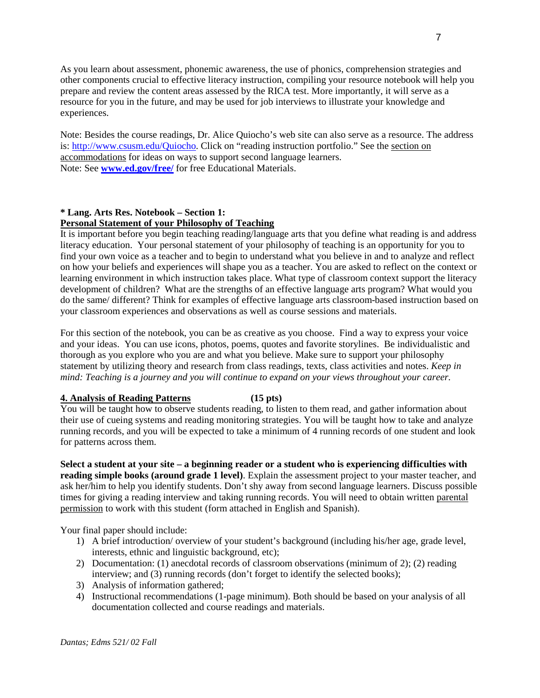As you learn about assessment, phonemic awareness, the use of phonics, comprehension strategies and other components crucial to effective literacy instruction, compiling your resource notebook will help you prepare and review the content areas assessed by the RICA test. More importantly, it will serve as a resource for you in the future, and may be used for job interviews to illustrate your knowledge and experiences.

Note: Besides the course readings, Dr. Alice Quiocho's web site can also serve as a resource. The address is: [http://www.csusm.edu/Quiocho.](http://www.csusm.edu/Quiocho) Click on "reading instruction portfolio." See the section on accommodations for ideas on ways to support second language learners. Note: See **[www.ed.gov/free/](http://www.ed.gov/free/)** for free Educational Materials.

## **\* Lang. Arts Res. Notebook – Section 1: Personal Statement of your Philosophy of Teaching**

It is important before you begin teaching reading/language arts that you define what reading is and address literacy education. Your personal statement of your philosophy of teaching is an opportunity for you to find your own voice as a teacher and to begin to understand what you believe in and to analyze and reflect on how your beliefs and experiences will shape you as a teacher. You are asked to reflect on the context or learning environment in which instruction takes place. What type of classroom context support the literacy development of children? What are the strengths of an effective language arts program? What would you do the same/ different? Think for examples of effective language arts classroom-based instruction based on your classroom experiences and observations as well as course sessions and materials.

For this section of the notebook, you can be as creative as you choose. Find a way to express your voice and your ideas. You can use icons, photos, poems, quotes and favorite storylines. Be individualistic and thorough as you explore who you are and what you believe. Make sure to support your philosophy statement by utilizing theory and research from class readings, texts, class activities and notes. *Keep in mind: Teaching is a journey and you will continue to expand on your views throughout your career.*

# **4. Analysis of Reading Patterns (15 pts)**

You will be taught how to observe students reading, to listen to them read, and gather information about their use of cueing systems and reading monitoring strategies. You will be taught how to take and analyze running records, and you will be expected to take a minimum of 4 running records of one student and look for patterns across them.

**Select a student at your site – a beginning reader or a student who is experiencing difficulties with reading simple books (around grade 1 level)**. Explain the assessment project to your master teacher, and ask her/him to help you identify students. Don't shy away from second language learners. Discuss possible times for giving a reading interview and taking running records. You will need to obtain written parental permission to work with this student (form attached in English and Spanish).

Your final paper should include:

- 1) A brief introduction/ overview of your student's background (including his/her age, grade level, interests, ethnic and linguistic background, etc);
- 2) Documentation: (1) anecdotal records of classroom observations (minimum of 2); (2) reading interview; and (3) running records (don't forget to identify the selected books);
- 3) Analysis of information gathered;
- 4) Instructional recommendations (1-page minimum). Both should be based on your analysis of all documentation collected and course readings and materials.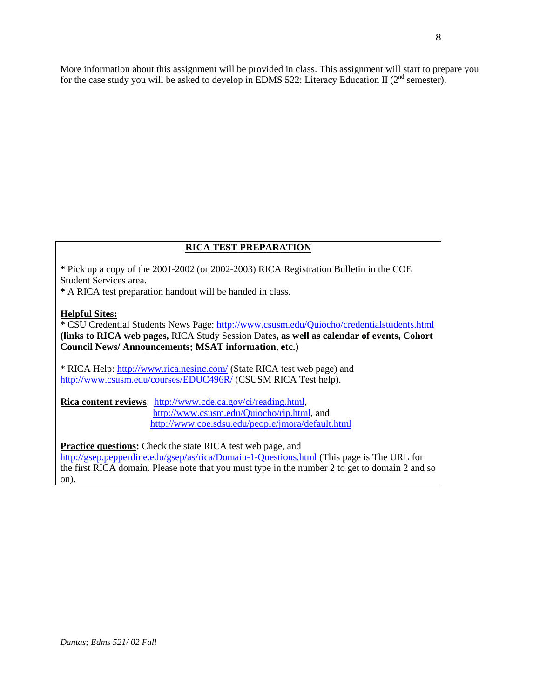More information about this assignment will be provided in class. This assignment will start to prepare you for the case study you will be asked to develop in EDMS 522: Literacy Education II (2<sup>nd</sup> semester).

# **RICA TEST PREPARATION**

**\*** Pick up a copy of the 2001-2002 (or 2002-2003) RICA Registration Bulletin in the COE Student Services area.

**\*** A RICA test preparation handout will be handed in class.

## **Helpful Sites:**

\* CSU Credential Students News Page:<http://www.csusm.edu/Quiocho/credentialstudents.html> **(links to RICA web pages,** RICA Study Session Dates**, as well as calendar of events, Cohort Council News/ Announcements; MSAT information, etc.)**

\* RICA Help:<http://www.rica.nesinc.com/> (State RICA test web page) and <http://www.csusm.edu/courses/EDUC496R/> (CSUSM RICA Test help).

**Rica content reviews**: [http://www.cde.ca.gov/ci/reading.html,](http://www.cde.ca.gov/ci/reading.html) [http://www.csusm.edu/Quiocho/rip.html,](http://www.csusm.edu/Quiocho/rip.html) and <http://www.coe.sdsu.edu/people/jmora/default.html>

**Practice questions:** Check the state RICA test web page, and

<http://gsep.pepperdine.edu/gsep/as/rica/Domain-1-Questions.html> (This page is The URL for the first RICA domain. Please note that you must type in the number 2 to get to domain 2 and so on).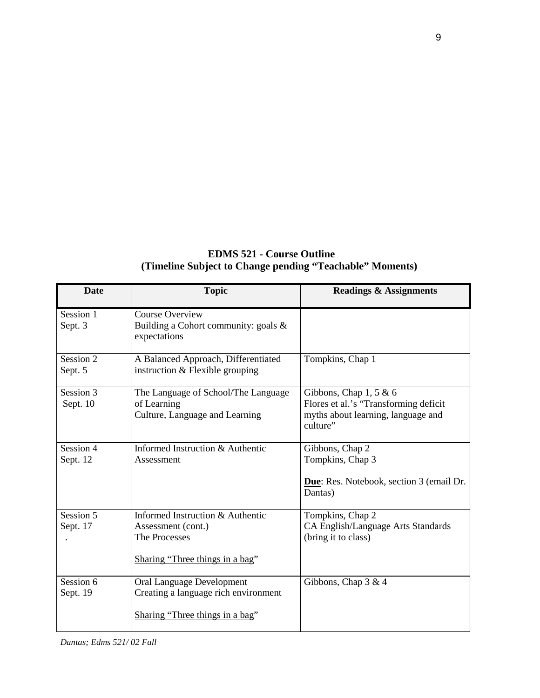| <b>EDMS 521 - Course Outline</b>                         |
|----------------------------------------------------------|
| (Timeline Subject to Change pending "Teachable" Moments) |

| <b>Date</b>           | <b>Topic</b>                                                                                               | <b>Readings &amp; Assignments</b>                                                                                    |
|-----------------------|------------------------------------------------------------------------------------------------------------|----------------------------------------------------------------------------------------------------------------------|
| Session 1<br>Sept. 3  | <b>Course Overview</b><br>Building a Cohort community: goals $\&$<br>expectations                          |                                                                                                                      |
| Session 2<br>Sept. 5  | A Balanced Approach, Differentiated<br>instruction & Flexible grouping                                     | Tompkins, Chap 1                                                                                                     |
| Session 3<br>Sept. 10 | The Language of School/The Language<br>of Learning<br>Culture, Language and Learning                       | Gibbons, Chap $1, 5 \& 6$<br>Flores et al.'s "Transforming deficit<br>myths about learning, language and<br>culture" |
| Session 4<br>Sept. 12 | Informed Instruction & Authentic<br>Assessment                                                             | Gibbons, Chap 2<br>Tompkins, Chap 3<br>Due: Res. Notebook, section 3 (email Dr.<br>Dantas)                           |
| Session 5<br>Sept. 17 | Informed Instruction & Authentic<br>Assessment (cont.)<br>The Processes<br>Sharing "Three things in a bag" | Tompkins, Chap 2<br>CA English/Language Arts Standards<br>(bring it to class)                                        |
| Session 6<br>Sept. 19 | Oral Language Development<br>Creating a language rich environment<br>Sharing "Three things in a bag"       | Gibbons, Chap $3 & 4$                                                                                                |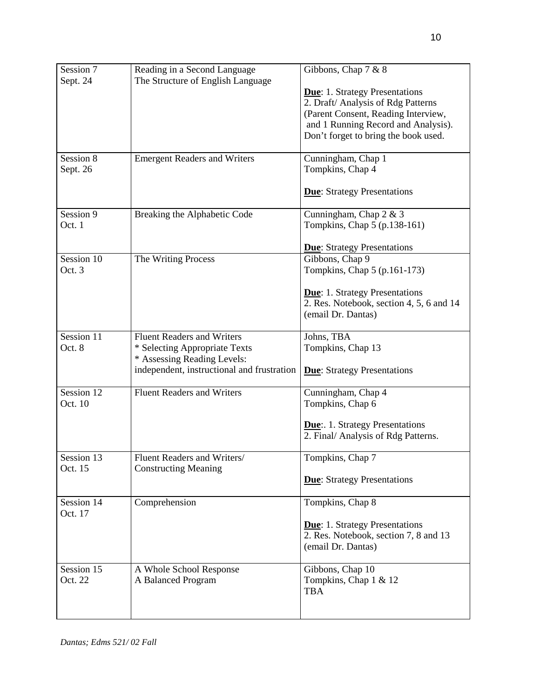| Session 7  | Reading in a Second Language               | Gibbons, Chap 7 & 8                                    |
|------------|--------------------------------------------|--------------------------------------------------------|
| Sept. 24   | The Structure of English Language          |                                                        |
|            |                                            | <b>Due:</b> 1. Strategy Presentations                  |
|            |                                            | 2. Draft/ Analysis of Rdg Patterns                     |
|            |                                            | (Parent Consent, Reading Interview,                    |
|            |                                            | and 1 Running Record and Analysis).                    |
|            |                                            | Don't forget to bring the book used.                   |
|            |                                            |                                                        |
| Session 8  | <b>Emergent Readers and Writers</b>        | Cunningham, Chap 1                                     |
| Sept. 26   |                                            | Tompkins, Chap 4                                       |
|            |                                            |                                                        |
|            |                                            | <b>Due:</b> Strategy Presentations                     |
| Session 9  |                                            |                                                        |
| Oct. 1     | Breaking the Alphabetic Code               | Cunningham, Chap 2 & 3<br>Tompkins, Chap 5 (p.138-161) |
|            |                                            |                                                        |
|            |                                            | <b>Due:</b> Strategy Presentations                     |
| Session 10 | The Writing Process                        | Gibbons, Chap 9                                        |
| Oct. 3     |                                            | Tompkins, Chap 5 (p.161-173)                           |
|            |                                            |                                                        |
|            |                                            | <b>Due:</b> 1. Strategy Presentations                  |
|            |                                            | 2. Res. Notebook, section 4, 5, 6 and 14               |
|            |                                            | (email Dr. Dantas)                                     |
|            |                                            |                                                        |
| Session 11 | <b>Fluent Readers and Writers</b>          | Johns, TBA                                             |
| Oct. 8     | * Selecting Appropriate Texts              | Tompkins, Chap 13                                      |
|            | * Assessing Reading Levels:                |                                                        |
|            | independent, instructional and frustration | <b>Due:</b> Strategy Presentations                     |
| Session 12 | <b>Fluent Readers and Writers</b>          | Cunningham, Chap 4                                     |
| Oct. 10    |                                            | Tompkins, Chap 6                                       |
|            |                                            |                                                        |
|            |                                            | <b>Due:.</b> 1. Strategy Presentations                 |
|            |                                            | 2. Final/ Analysis of Rdg Patterns.                    |
|            |                                            |                                                        |
| Session 13 | Fluent Readers and Writers/                | Tompkins, Chap 7                                       |
| Oct. 15    | <b>Constructing Meaning</b>                |                                                        |
|            |                                            | <b>Due:</b> Strategy Presentations                     |
| Session 14 | Comprehension                              | Tompkins, Chap 8                                       |
| Oct. 17    |                                            |                                                        |
|            |                                            | <b>Due:</b> 1. Strategy Presentations                  |
|            |                                            | 2. Res. Notebook, section 7, 8 and 13                  |
|            |                                            | (email Dr. Dantas)                                     |
|            |                                            |                                                        |
| Session 15 | A Whole School Response                    | Gibbons, Chap 10                                       |
| Oct. 22    | A Balanced Program                         | Tompkins, Chap 1 & 12                                  |
|            |                                            | <b>TBA</b>                                             |
|            |                                            |                                                        |
|            |                                            |                                                        |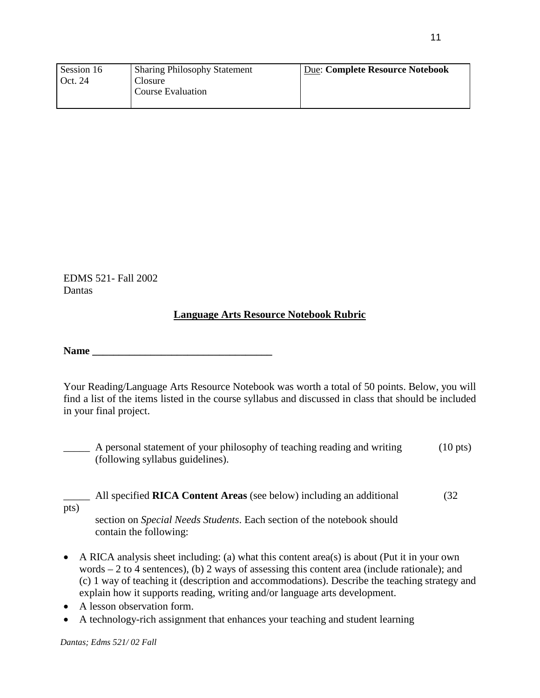| Session 16 | <b>Sharing Philosophy Statement</b> | Due: Complete Resource Notebook |
|------------|-------------------------------------|---------------------------------|
| Oct. 24    | Closure                             |                                 |
|            | Course Evaluation                   |                                 |
|            |                                     |                                 |

EDMS 521- Fall 2002 Dantas

# **Language Arts Resource Notebook Rubric**

Name **Name** 

Your Reading/Language Arts Resource Notebook was worth a total of 50 points. Below, you will find a list of the items listed in the course syllabus and discussed in class that should be included in your final project.

\_\_\_\_\_ A personal statement of your philosophy of teaching reading and writing (10 pts) (following syllabus guidelines).

\_\_\_\_\_ All specified **RICA Content Areas** (see below) including an additional (32

pts)

section on *Special Needs Students*. Each section of the notebook should contain the following:

- A RICA analysis sheet including: (a) what this content area(s) is about (Put it in your own words  $-2$  to 4 sentences), (b) 2 ways of assessing this content area (include rationale); and (c) 1 way of teaching it (description and accommodations). Describe the teaching strategy and explain how it supports reading, writing and/or language arts development.
- A lesson observation form.
- A technology-rich assignment that enhances your teaching and student learning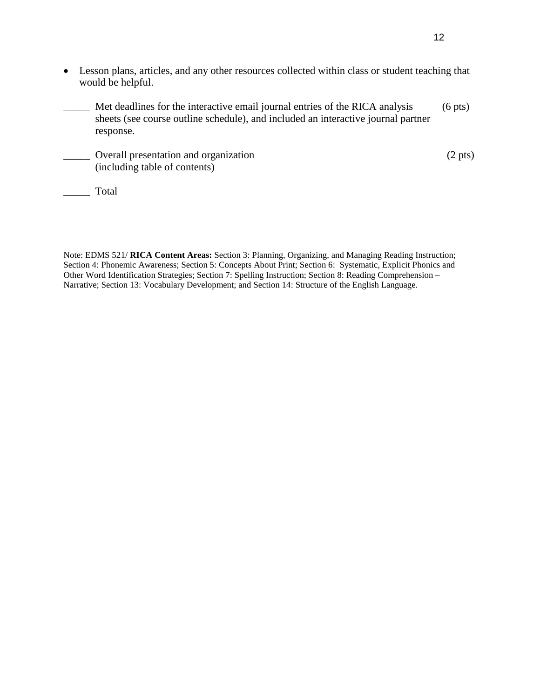- Lesson plans, articles, and any other resources collected within class or student teaching that would be helpful.
	- Met deadlines for the interactive email journal entries of the RICA analysis (6 pts) sheets (see course outline schedule), and included an interactive journal partner response.
- Overall presentation and organization (2 pts) (including table of contents)

\_\_\_\_\_ Total

Note: EDMS 521/ **RICA Content Areas:** Section 3: Planning, Organizing, and Managing Reading Instruction; Section 4: Phonemic Awareness; Section 5: Concepts About Print; Section 6: Systematic, Explicit Phonics and Other Word Identification Strategies; Section 7: Spelling Instruction; Section 8: Reading Comprehension – Narrative; Section 13: Vocabulary Development; and Section 14: Structure of the English Language.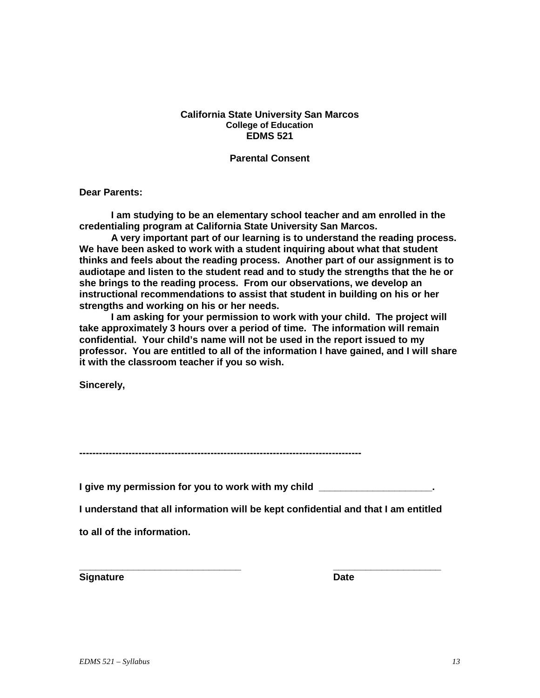## **California State University San Marcos College of Education EDMS 521**

**Parental Consent**

**Dear Parents:**

**I am studying to be an elementary school teacher and am enrolled in the credentialing program at California State University San Marcos.** 

**A very important part of our learning is to understand the reading process. We have been asked to work with a student inquiring about what that student thinks and feels about the reading process. Another part of our assignment is to audiotape and listen to the student read and to study the strengths that the he or she brings to the reading process. From our observations, we develop an instructional recommendations to assist that student in building on his or her strengths and working on his or her needs.**

**I am asking for your permission to work with your child. The project will take approximately 3 hours over a period of time. The information will remain confidential. Your child's name will not be used in the report issued to my professor. You are entitled to all of the information I have gained, and I will share it with the classroom teacher if you so wish.**

**Sincerely,**

**--------------------------------------------------------------------------------------**

**I give my permission for you to work with my child \_\_\_\_\_\_\_\_\_\_\_\_\_\_\_\_\_\_\_\_\_.**

**I understand that all information will be kept confidential and that I am entitled** 

**to all of the information.**

**Signature Date**

**\_\_\_\_\_\_\_\_\_\_\_\_\_\_\_\_\_\_\_\_\_\_\_\_\_\_\_\_\_\_ \_\_\_\_\_\_\_\_\_\_\_\_\_\_\_\_\_\_\_\_**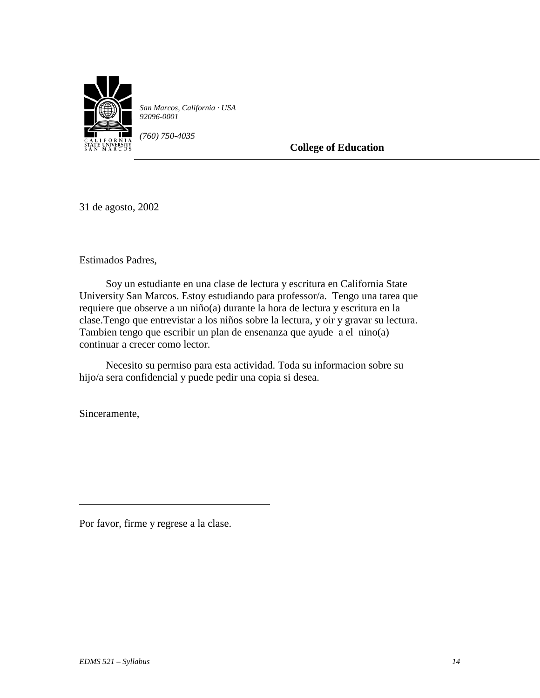

*San Marcos, California · USA 92096-0001*

*(760) 750-4035*

**College of Education**

31 de agosto, 2002

Estimados Padres,

 Soy un estudiante en una clase de lectura y escritura en California State University San Marcos. Estoy estudiando para professor/a. Tengo una tarea que requiere que observe a un niño(a) durante la hora de lectura y escritura en la clase.Tengo que entrevistar a los niños sobre la lectura, y oir y gravar su lectura. Tambien tengo que escribir un plan de ensenanza que ayude a el nino(a) continuar a crecer como lector.

 Necesito su permiso para esta actividad. Toda su informacion sobre su hijo/a sera confidencial y puede pedir una copia si desea.

Sinceramente,

Por favor, firme y regrese a la clase.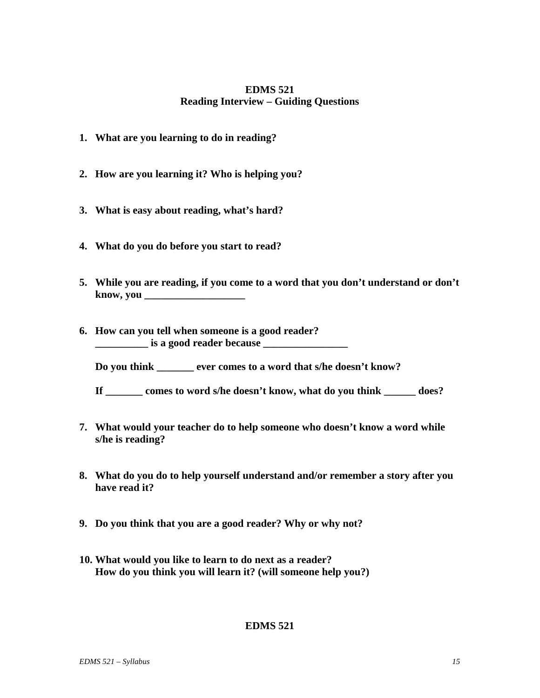# **EDMS 521 Reading Interview – Guiding Questions**

- **1. What are you learning to do in reading?**
- **2. How are you learning it? Who is helping you?**
- **3. What is easy about reading, what's hard?**
- **4. What do you do before you start to read?**
- **5. While you are reading, if you come to a word that you don't understand or don't know, you \_\_\_\_\_\_\_\_\_\_\_\_\_\_\_\_\_\_\_**
- **6. How can you tell when someone is a good reader? \_\_\_\_\_\_\_\_\_\_ is a good reader because \_\_\_\_\_\_\_\_\_\_\_\_\_\_\_\_**

**Do you think \_\_\_\_\_\_\_ ever comes to a word that s/he doesn't know?** 

- **If \_\_\_\_\_\_\_ comes to word s/he doesn't know, what do you think \_\_\_\_\_\_ does?**
- **7. What would your teacher do to help someone who doesn't know a word while s/he is reading?**
- **8. What do you do to help yourself understand and/or remember a story after you have read it?**
- **9. Do you think that you are a good reader? Why or why not?**
- **10. What would you like to learn to do next as a reader? How do you think you will learn it? (will someone help you?)**

# **EDMS 521**